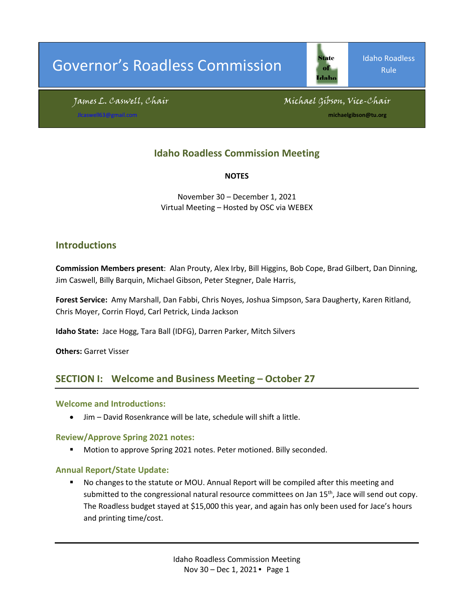# Governor's Roadless Commission

of Idaho

Idaho Roadless Rule

James L. Caswell, Chair Michael Gibson, Vice-Chair

michaelgibson@tu.org

# **Idaho Roadless Commission Meeting**

**NOTES**

November 30 – December 1, 2021 Virtual Meeting – Hosted by OSC via WEBEX

### **Introductions**

**Commission Members present**: Alan Prouty, Alex Irby, Bill Higgins, Bob Cope, Brad Gilbert, Dan Dinning, Jim Caswell, Billy Barquin, Michael Gibson, Peter Stegner, Dale Harris,

**Forest Service:** Amy Marshall, Dan Fabbi, Chris Noyes, Joshua Simpson, Sara Daugherty, Karen Ritland, Chris Moyer, Corrin Floyd, Carl Petrick, Linda Jackson

**Idaho State:** Jace Hogg, Tara Ball (IDFG), Darren Parker, Mitch Silvers

**Others:** Garret Visser

### **SECTION I: Welcome and Business Meeting – October 27**

#### **Welcome and Introductions:**

• Jim – David Rosenkrance will be late, schedule will shift a little.

#### **Review/Approve Spring 2021 notes:**

**Motion to approve Spring 2021 notes. Peter motioned. Billy seconded.** 

#### **Annual Report/State Update:**

 No changes to the statute or MOU. Annual Report will be compiled after this meeting and submitted to the congressional natural resource committees on Jan 15<sup>th</sup>, Jace will send out copy. The Roadless budget stayed at \$15,000 this year, and again has only been used for Jace's hours and printing time/cost.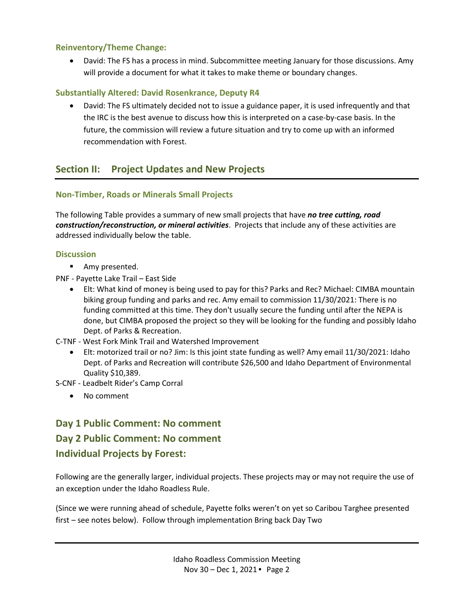#### **Reinventory/Theme Change:**

• David: The FS has a process in mind. Subcommittee meeting January for those discussions. Amy will provide a document for what it takes to make theme or boundary changes.

#### **Substantially Altered: David Rosenkrance, Deputy R4**

• David: The FS ultimately decided not to issue a guidance paper, it is used infrequently and that the IRC is the best avenue to discuss how this is interpreted on a case-by-case basis. In the future, the commission will review a future situation and try to come up with an informed recommendation with Forest.

# **Section II: Project Updates and New Projects**

#### **Non-Timber, Roads or Minerals Small Projects**

The following Table provides a summary of new small projects that have *no tree cutting, road construction/reconstruction, or mineral activities*. Projects that include any of these activities are addressed individually below the table.

#### **Discussion**

- **Amy presented.**
- PNF Payette Lake Trail East Side
	- Elt: What kind of money is being used to pay for this? Parks and Rec? Michael: CIMBA mountain biking group funding and parks and rec. Amy email to commission 11/30/2021: There is no funding committed at this time. They don't usually secure the funding until after the NEPA is done, but CIMBA proposed the project so they will be looking for the funding and possibly Idaho Dept. of Parks & Recreation.
- C-TNF West Fork Mink Trail and Watershed Improvement
	- Elt: motorized trail or no? Jim: Is this joint state funding as well? Amy email 11/30/2021: Idaho Dept. of Parks and Recreation will contribute \$26,500 and Idaho Department of Environmental Quality \$10,389.
- S-CNF Leadbelt Rider's Camp Corral
	- No comment

# **Day 1 Public Comment: No comment Day 2 Public Comment: No comment Individual Projects by Forest:**

Following are the generally larger, individual projects. These projects may or may not require the use of an exception under the Idaho Roadless Rule.

(Since we were running ahead of schedule, Payette folks weren't on yet so Caribou Targhee presented first – see notes below). Follow through implementation Bring back Day Two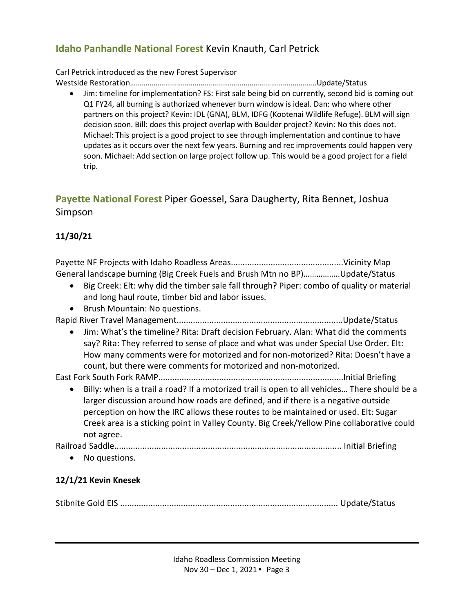# **Idaho Panhandle National Forest** Kevin Knauth, Carl Petrick

Carl Petrick introduced as the new Forest Supervisor Westside Restoration…………………………………………………………………………………..Update/Status

• Jim: timeline for implementation? FS: First sale being bid on currently, second bid is coming out Q1 FY24, all burning is authorized whenever burn window is ideal. Dan: who where other partners on this project? Kevin: IDL (GNA), BLM, IDFG (Kootenai Wildlife Refuge). BLM will sign decision soon. Bill: does this project overlap with Boulder project? Kevin: No this does not. Michael: This project is a good project to see through implementation and continue to have updates as it occurs over the next few years. Burning and rec improvements could happen very soon. Michael: Add section on large project follow up. This would be a good project for a field trip.

# **Payette National Forest** Piper Goessel, Sara Daugherty, Rita Bennet, Joshua Simpson

# **11/30/21**

Payette NF Projects with Idaho Roadless Areas................................................Vicinity Map General landscape burning (Big Creek Fuels and Brush Mtn no BP)……………..Update/Status

- Big Creek: Elt: why did the timber sale fall through? Piper: combo of quality or material and long haul route, timber bid and labor issues.
- Brush Mountain: No questions.

Rapid River Travel Management.......................................................................Update/Status

• Jim: What's the timeline? Rita: Draft decision February. Alan: What did the comments say? Rita: They referred to sense of place and what was under Special Use Order. Elt: How many comments were for motorized and for non-motorized? Rita: Doesn't have a count, but there were comments for motorized and non-motorized.

East Fork South Fork RAMP...............................................................................Initial Briefing

• Billy: when is a trail a road? If a motorized trail is open to all vehicles… There should be a larger discussion around how roads are defined, and if there is a negative outside perception on how the IRC allows these routes to be maintained or used. Elt: Sugar Creek area is a sticking point in Valley County. Big Creek/Yellow Pine collaborative could not agree.

Railroad Saddle................................................................................................. Initial Briefing

• No questions.

# **12/1/21 Kevin Knesek**

Stibnite Gold EIS ............................................................................................. Update/Status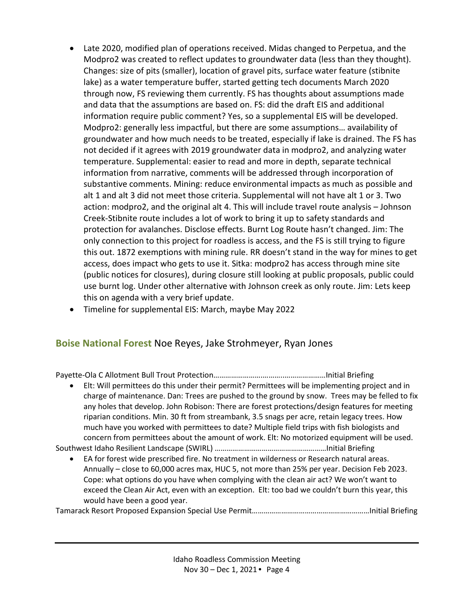- Late 2020, modified plan of operations received. Midas changed to Perpetua, and the Modpro2 was created to reflect updates to groundwater data (less than they thought). Changes: size of pits (smaller), location of gravel pits, surface water feature (stibnite lake) as a water temperature buffer, started getting tech documents March 2020 through now, FS reviewing them currently. FS has thoughts about assumptions made and data that the assumptions are based on. FS: did the draft EIS and additional information require public comment? Yes, so a supplemental EIS will be developed. Modpro2: generally less impactful, but there are some assumptions… availability of groundwater and how much needs to be treated, especially if lake is drained. The FS has not decided if it agrees with 2019 groundwater data in modpro2, and analyzing water temperature. Supplemental: easier to read and more in depth, separate technical information from narrative, comments will be addressed through incorporation of substantive comments. Mining: reduce environmental impacts as much as possible and alt 1 and alt 3 did not meet those criteria. Supplemental will not have alt 1 or 3. Two action: modpro2, and the original alt 4. This will include travel route analysis – Johnson Creek-Stibnite route includes a lot of work to bring it up to safety standards and protection for avalanches. Disclose effects. Burnt Log Route hasn't changed. Jim: The only connection to this project for roadless is access, and the FS is still trying to figure this out. 1872 exemptions with mining rule. RR doesn't stand in the way for mines to get access, does impact who gets to use it. Sitka: modpro2 has access through mine site (public notices for closures), during closure still looking at public proposals, public could use burnt log. Under other alternative with Johnson creek as only route. Jim: Lets keep this on agenda with a very brief update.
- Timeline for supplemental EIS: March, maybe May 2022

# **Boise National Forest** Noe Reyes, Jake Strohmeyer, Ryan Jones

Payette-Ola C Allotment Bull Trout Protection…………………….………..…………………Initial Briefing

• Elt: Will permittees do this under their permit? Permittees will be implementing project and in charge of maintenance. Dan: Trees are pushed to the ground by snow. Trees may be felled to fix any holes that develop. John Robison: There are forest protections/design features for meeting riparian conditions. Min. 30 ft from streambank, 3.5 snags per acre, retain legacy trees. How much have you worked with permittees to date? Multiple field trips with fish biologists and concern from permittees about the amount of work. Elt: No motorized equipment will be used.

Southwest Idaho Resilient Landscape (SWIRL) …………………………………………………Initial Briefing

• EA for forest wide prescribed fire. No treatment in wilderness or Research natural areas. Annually – close to 60,000 acres max, HUC 5, not more than 25% per year. Decision Feb 2023. Cope: what options do you have when complying with the clean air act? We won't want to exceed the Clean Air Act, even with an exception. Elt: too bad we couldn't burn this year, this would have been a good year.

Tamarack Resort Proposed Expansion Special Use Permit……………………………………………………Initial Briefing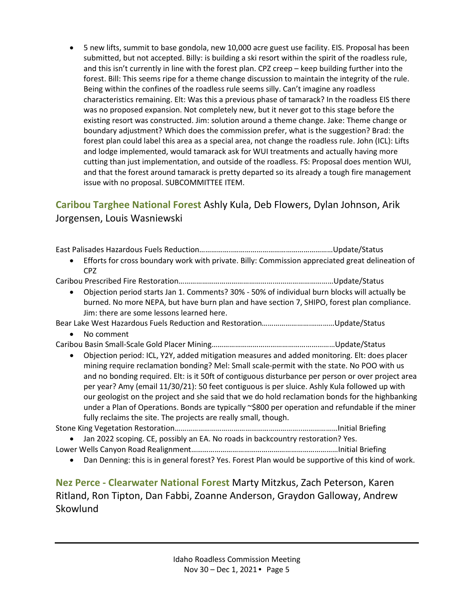• 5 new lifts, summit to base gondola, new 10,000 acre guest use facility. EIS. Proposal has been submitted, but not accepted. Billy: is building a ski resort within the spirit of the roadless rule, and this isn't currently in line with the forest plan. CPZ creep – keep building further into the forest. Bill: This seems ripe for a theme change discussion to maintain the integrity of the rule. Being within the confines of the roadless rule seems silly. Can't imagine any roadless characteristics remaining. Elt: Was this a previous phase of tamarack? In the roadless EIS there was no proposed expansion. Not completely new, but it never got to this stage before the existing resort was constructed. Jim: solution around a theme change. Jake: Theme change or boundary adjustment? Which does the commission prefer, what is the suggestion? Brad: the forest plan could label this area as a special area, not change the roadless rule. John (ICL): Lifts and lodge implemented, would tamarack ask for WUI treatments and actually having more cutting than just implementation, and outside of the roadless. FS: Proposal does mention WUI, and that the forest around tamarack is pretty departed so its already a tough fire management issue with no proposal. SUBCOMMITTEE ITEM.

# **Caribou Targhee National Forest** Ashly Kula, Deb Flowers, Dylan Johnson, Arik Jorgensen, Louis Wasniewski

East Palisades Hazardous Fuels Reduction……………..……………………………………………Update/Status

• Efforts for cross boundary work with private. Billy: Commission appreciated great delineation of CPZ

Caribou Prescribed Fire Restoration………………………………………….…………………………Update/Status

• Objection period starts Jan 1. Comments? 30% - 50% of individual burn blocks will actually be burned. No more NEPA, but have burn plan and have section 7, SHIPO, forest plan compliance. Jim: there are some lessons learned here.

Bear Lake West Hazardous Fuels Reduction and Restoration…………………….…………Update/Status

• No comment

Caribou Basin Small-Scale Gold Placer Mining………………………………………………………Update/Status

• Objection period: ICL, Y2Y, added mitigation measures and added monitoring. Elt: does placer mining require reclamation bonding? Mel: Small scale-permit with the state. No POO with us and no bonding required. Elt: is it 50ft of contiguous disturbance per person or over project area per year? Amy (email 11/30/21): 50 feet contiguous is per sluice. Ashly Kula followed up with our geologist on the project and she said that we do hold reclamation bonds for the highbanking under a Plan of Operations. Bonds are typically ~\$800 per operation and refundable if the miner fully reclaims the site. The projects are really small, though.

Stone King Vegetation Restoration………………………………………………………..………………Initial Briefing

• Jan 2022 scoping. CE, possibly an EA. No roads in backcountry restoration? Yes.

Lower Wells Canyon Road Realignment…………………………………………………………………Initial Briefing

• Dan Denning: this is in general forest? Yes. Forest Plan would be supportive of this kind of work.

**Nez Perce - Clearwater National Forest** Marty Mitzkus, Zach Peterson, Karen Ritland, Ron Tipton, Dan Fabbi, Zoanne Anderson, Graydon Galloway, Andrew **Skowlund**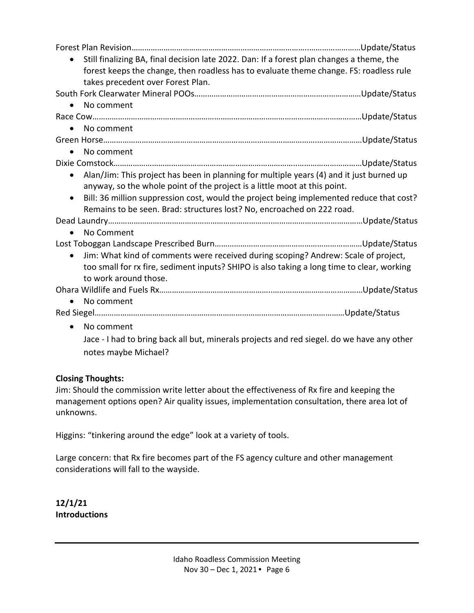| Still finalizing BA, final decision late 2022. Dan: If a forest plan changes a theme, the<br>forest keeps the change, then roadless has to evaluate theme change. FS: roadless rule<br>takes precedent over Forest Plan. |  |
|--------------------------------------------------------------------------------------------------------------------------------------------------------------------------------------------------------------------------|--|
|                                                                                                                                                                                                                          |  |
| No comment<br>$\bullet$                                                                                                                                                                                                  |  |
|                                                                                                                                                                                                                          |  |
| No comment                                                                                                                                                                                                               |  |
|                                                                                                                                                                                                                          |  |
| No comment<br>$\bullet$                                                                                                                                                                                                  |  |
|                                                                                                                                                                                                                          |  |
| Alan/Jim: This project has been in planning for multiple years (4) and it just burned up<br>$\bullet$                                                                                                                    |  |
| anyway, so the whole point of the project is a little moot at this point.                                                                                                                                                |  |
| Bill: 36 million suppression cost, would the project being implemented reduce that cost?<br>$\bullet$                                                                                                                    |  |
| Remains to be seen. Brad: structures lost? No, encroached on 222 road.                                                                                                                                                   |  |
| No Comment                                                                                                                                                                                                               |  |
|                                                                                                                                                                                                                          |  |
| Jim: What kind of comments were received during scoping? Andrew: Scale of project,<br>$\bullet$                                                                                                                          |  |
| too small for rx fire, sediment inputs? SHIPO is also taking a long time to clear, working                                                                                                                               |  |
| to work around those.                                                                                                                                                                                                    |  |
|                                                                                                                                                                                                                          |  |
| No comment                                                                                                                                                                                                               |  |
|                                                                                                                                                                                                                          |  |
| No comment<br>$\bullet$                                                                                                                                                                                                  |  |
| Jace - I had to bring back all but, minerals projects and red siegel. do we have any other                                                                                                                               |  |
|                                                                                                                                                                                                                          |  |
| notes maybe Michael?                                                                                                                                                                                                     |  |

#### **Closing Thoughts:**

Jim: Should the commission write letter about the effectiveness of Rx fire and keeping the management options open? Air quality issues, implementation consultation, there area lot of unknowns.

Higgins: "tinkering around the edge" look at a variety of tools.

Large concern: that Rx fire becomes part of the FS agency culture and other management considerations will fall to the wayside.

**12/1/21 Introductions**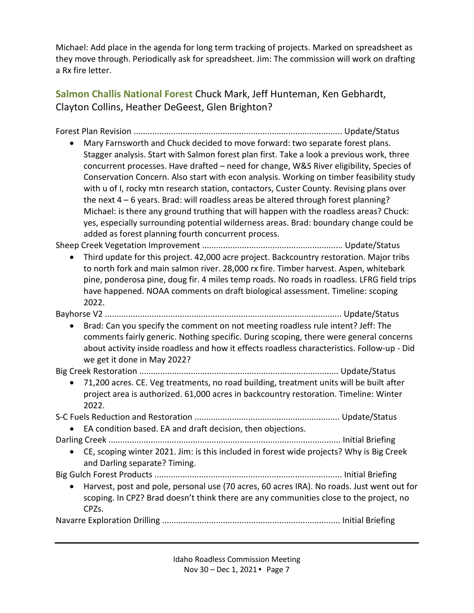Michael: Add place in the agenda for long term tracking of projects. Marked on spreadsheet as they move through. Periodically ask for spreadsheet. Jim: The commission will work on drafting a Rx fire letter.

**Salmon Challis National Forest** Chuck Mark, Jeff Hunteman, Ken Gebhardt, Clayton Collins, Heather DeGeest, Glen Brighton?

Forest Plan Revision ......................................................................................... Update/Status

• Mary Farnsworth and Chuck decided to move forward: two separate forest plans. Stagger analysis. Start with Salmon forest plan first. Take a look a previous work, three concurrent processes. Have drafted – need for change, W&S River eligibility, Species of Conservation Concern. Also start with econ analysis. Working on timber feasibility study with u of I, rocky mtn research station, contactors, Custer County. Revising plans over the next 4 – 6 years. Brad: will roadless areas be altered through forest planning? Michael: is there any ground truthing that will happen with the roadless areas? Chuck: yes, especially surrounding potential wilderness areas. Brad: boundary change could be added as forest planning fourth concurrent process.

Sheep Creek Vegetation Improvement ............................................................ Update/Status

• Third update for this project. 42,000 acre project. Backcountry restoration. Major tribs to north fork and main salmon river. 28,000 rx fire. Timber harvest. Aspen, whitebark pine, ponderosa pine, doug fir. 4 miles temp roads. No roads in roadless. LFRG field trips have happened. NOAA comments on draft biological assessment. Timeline: scoping 2022.

Bayhorse V2 ..................................................................................................... Update/Status

• Brad: Can you specify the comment on not meeting roadless rule intent? Jeff: The comments fairly generic. Nothing specific. During scoping, there were general concerns about activity inside roadless and how it effects roadless characteristics. Follow-up - Did we get it done in May 2022?

Big Creek Restoration ..................................................................................... Update/Status

• 71,200 acres. CE. Veg treatments, no road building, treatment units will be built after project area is authorized. 61,000 acres in backcountry restoration. Timeline: Winter 2022.

S-C Fuels Reduction and Restoration .............................................................. Update/Status

• EA condition based. EA and draft decision, then objections.

Darling Creek ................................................................................................... Initial Briefing

• CE, scoping winter 2021. Jim: is this included in forest wide projects? Why is Big Creek and Darling separate? Timing.

Big Gulch Forest Products ................................................................................ Initial Briefing

• Harvest, post and pole, personal use (70 acres, 60 acres IRA). No roads. Just went out for scoping. In CPZ? Brad doesn't think there are any communities close to the project, no CPZs.

Navarre Exploration Drilling ............................................................................ Initial Briefing